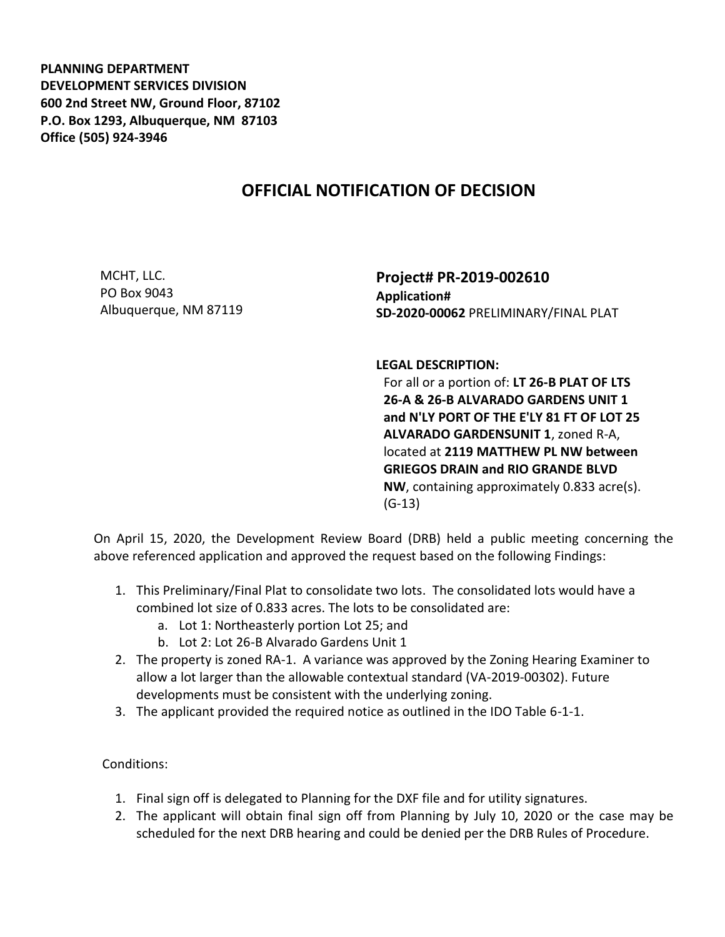**PLANNING DEPARTMENT DEVELOPMENT SERVICES DIVISION 600 2nd Street NW, Ground Floor, 87102 P.O. Box 1293, Albuquerque, NM 87103 Office (505) 924-3946** 

## **OFFICIAL NOTIFICATION OF DECISION**

MCHT, LLC. PO Box 9043 Albuquerque, NM 87119

**Project# PR-2019-002610 Application# SD-2020-00062** PRELIMINARY/FINAL PLAT

**LEGAL DESCRIPTION:**

For all or a portion of: **LT 26-B PLAT OF LTS 26-A & 26-B ALVARADO GARDENS UNIT 1 and N'LY PORT OF THE E'LY 81 FT OF LOT 25 ALVARADO GARDENSUNIT 1**, zoned R-A, located at **2119 MATTHEW PL NW between GRIEGOS DRAIN and RIO GRANDE BLVD NW**, containing approximately 0.833 acre(s). (G-13)

On April 15, 2020, the Development Review Board (DRB) held a public meeting concerning the above referenced application and approved the request based on the following Findings:

- 1. This Preliminary/Final Plat to consolidate two lots. The consolidated lots would have a combined lot size of 0.833 acres. The lots to be consolidated are:
	- a. Lot 1: Northeasterly portion Lot 25; and
	- b. Lot 2: Lot 26-B Alvarado Gardens Unit 1
- 2. The property is zoned RA-1. A variance was approved by the Zoning Hearing Examiner to allow a lot larger than the allowable contextual standard (VA-2019-00302). Future developments must be consistent with the underlying zoning.
- 3. The applicant provided the required notice as outlined in the IDO Table 6-1-1.

Conditions:

- 1. Final sign off is delegated to Planning for the DXF file and for utility signatures.
- 2. The applicant will obtain final sign off from Planning by July 10, 2020 or the case may be scheduled for the next DRB hearing and could be denied per the DRB Rules of Procedure.